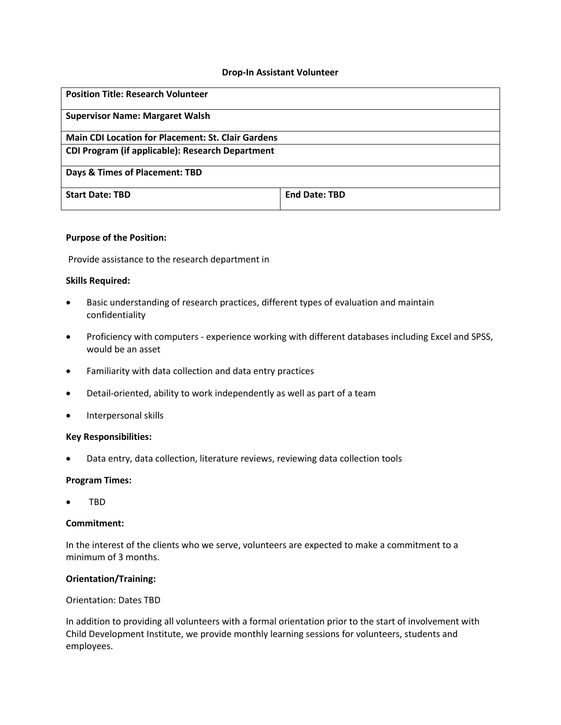### **Drop-In Assistant Volunteer**

| <b>Position Title: Research Volunteer</b>                 |                      |
|-----------------------------------------------------------|----------------------|
| <b>Supervisor Name: Margaret Walsh</b>                    |                      |
| <b>Main CDI Location for Placement: St. Clair Gardens</b> |                      |
| CDI Program (if applicable): Research Department          |                      |
| Days & Times of Placement: TBD                            |                      |
| <b>Start Date: TBD</b>                                    | <b>End Date: TBD</b> |

## **Purpose of the Position:**

Provide assistance to the research department in

## **Skills Required:**

- Basic understanding of research practices, different types of evaluation and maintain confidentiality
- Proficiency with computers experience working with different databases including Excel and SPSS, would be an asset
- Familiarity with data collection and data entry practices
- Detail-oriented, ability to work independently as well as part of a team
- Interpersonal skills

#### **Key Responsibilities:**

Data entry, data collection, literature reviews, reviewing data collection tools

#### **Program Times:**

TBD

## **Commitment:**

In the interest of the clients who we serve, volunteers are expected to make a commitment to a minimum of 3 months.

# **Orientation/Training:**

### Orientation: Dates TBD

In addition to providing all volunteers with a formal orientation prior to the start of involvement with Child Development Institute, we provide monthly learning sessions for volunteers, students and employees.